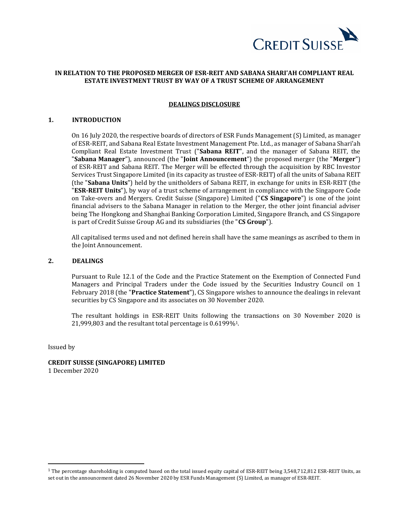

# **IN RELATION TO THE PROPOSED MERGER OF ESR-REIT AND SABANA SHARI'AH COMPLIANT REAL ESTATE INVESTMENT TRUST BY WAY OF A TRUST SCHEME OF ARRANGEMENT**

### **DEALINGS DISCLOSURE**

#### **1. INTRODUCTION**

On 16 July 2020, the respective boards of directors of ESR Funds Management (S) Limited, as manager of ESR-REIT, and Sabana Real Estate Investment Management Pte. Ltd., as manager of Sabana Shari'ah Compliant Real Estate Investment Trust ("**Sabana REIT**", and the manager of Sabana REIT, the "**Sabana Manager**"), announced (the "**Joint Announcement**") the proposed merger (the "**Merger**") of ESR-REIT and Sabana REIT. The Merger will be effected through the acquisition by RBC Investor Services Trust Singapore Limited (in its capacity as trustee of ESR-REIT) of all the units of Sabana REIT (the "**Sabana Units**") held by the unitholders of Sabana REIT, in exchange for units in ESR-REIT (the "**ESR-REIT Units**"), by way of a trust scheme of arrangement in compliance with the Singapore Code on Take-overs and Mergers. Credit Suisse (Singapore) Limited ("**CS Singapore**") is one of the joint financial advisers to the Sabana Manager in relation to the Merger, the other joint financial adviser being The Hongkong and Shanghai Banking Corporation Limited, Singapore Branch, and CS Singapore is part of Credit Suisse Group AG and its subsidiaries (the "**CS Group**").

All capitalised terms used and not defined herein shall have the same meanings as ascribed to them in the Joint Announcement.

# **2. DEALINGS**

Pursuant to Rule 12.1 of the Code and the Practice Statement on the Exemption of Connected Fund Managers and Principal Traders under the Code issued by the Securities Industry Council on 1 February 2018 (the "**Practice Statement**"), CS Singapore wishes to announce the dealings in relevant securities by CS Singapore and its associates on 30 November 2020.

The resultant holdings in ESR-REIT Units following the transactions on 30 November 2020 is 21,999,803 and the resultant total percentage is 0.6199%1.

Issued by

**CREDIT SUISSE (SINGAPORE) LIMITED** 1 December 2020

<sup>&</sup>lt;sup>1</sup> The percentage shareholding is computed based on the total issued equity capital of ESR-REIT being 3,548,712,812 ESR-REIT Units, as set out in the announcement dated 26 November 2020 by ESR Funds Management (S) Limited, as manager of ESR-REIT.